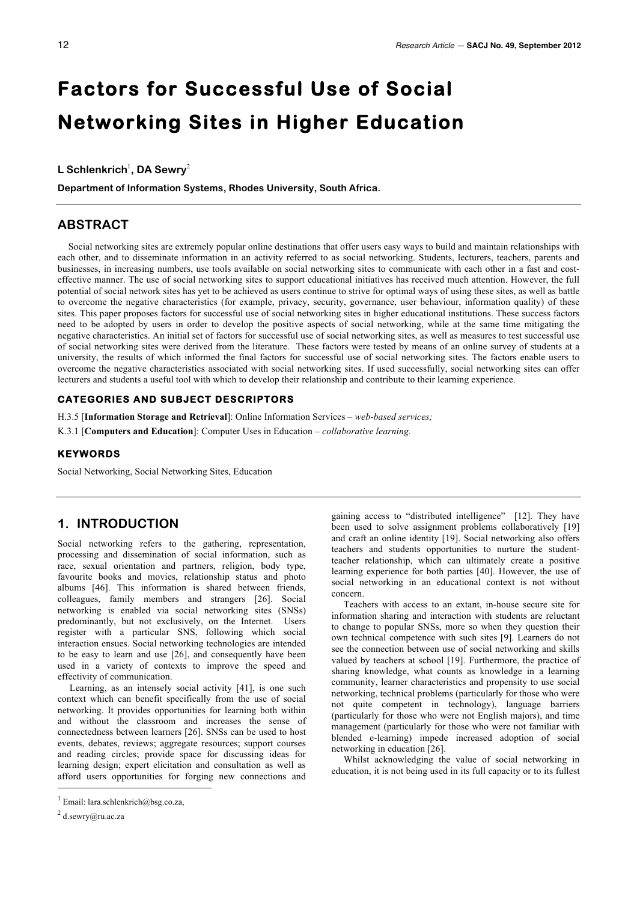# **Factors for Successful Use of Social Networking Sites in Higher Education**

### **L Schlenkrich**<sup>1</sup> **, DA Sewry**<sup>2</sup>

**Department of Information Systems, Rhodes University, South Africa.**

# **ABSTRACT**

Social networking sites are extremely popular online destinations that offer users easy ways to build and maintain relationships with each other, and to disseminate information in an activity referred to as social networking. Students, lecturers, teachers, parents and businesses, in increasing numbers, use tools available on social networking sites to communicate with each other in a fast and costeffective manner. The use of social networking sites to support educational initiatives has received much attention. However, the full potential of social network sites has yet to be achieved as users continue to strive for optimal ways of using these sites, as well as battle to overcome the negative characteristics (for example, privacy, security, governance, user behaviour, information quality) of these sites. This paper proposes factors for successful use of social networking sites in higher educational institutions. These success factors need to be adopted by users in order to develop the positive aspects of social networking, while at the same time mitigating the negative characteristics. An initial set of factors for successful use of social networking sites, as well as measures to test successful use of social networking sites were derived from the literature. These factors were tested by means of an online survey of students at a university, the results of which informed the final factors for successful use of social networking sites. The factors enable users to overcome the negative characteristics associated with social networking sites. If used successfully, social networking sites can offer lecturers and students a useful tool with which to develop their relationship and contribute to their learning experience.

### **CATEGORIES AND SUBJECT DESCRIPTORS**

H.3.5 [**Information Storage and Retrieval**]: Online Information Services – *web-based services;*

K.3.1 [**Computers and Education**]: Computer Uses in Education – *collaborative learning.*

### **KEYWORDS**

Social Networking, Social Networking Sites, Education

# **1. INTRODUCTION**

Social networking refers to the gathering, representation, processing and dissemination of social information, such as race, sexual orientation and partners, religion, body type, favourite books and movies, relationship status and photo albums [46]. This information is shared between friends, colleagues, family members and strangers [26]. Social networking is enabled via social networking sites (SNSs) predominantly, but not exclusively, on the Internet. Users register with a particular SNS, following which social interaction ensues. Social networking technologies are intended to be easy to learn and use [26], and consequently have been used in a variety of contexts to improve the speed and effectivity of communication.

Learning, as an intensely social activity [41], is one such context which can benefit specifically from the use of social networking. It provides opportunities for learning both within and without the classroom and increases the sense of connectedness between learners [26]. SNSs can be used to host events, debates, reviews; aggregate resources; support courses and reading circles; provide space for discussing ideas for learning design; expert elicitation and consultation as well as afford users opportunities for forging new connections and

 $\overline{a}$ 

gaining access to "distributed intelligence" [12]. They have been used to solve assignment problems collaboratively [19] and craft an online identity [19]. Social networking also offers teachers and students opportunities to nurture the studentteacher relationship, which can ultimately create a positive learning experience for both parties [40]. However, the use of social networking in an educational context is not without concern.

Teachers with access to an extant, in-house secure site for information sharing and interaction with students are reluctant to change to popular SNSs, more so when they question their own technical competence with such sites [9]. Learners do not see the connection between use of social networking and skills valued by teachers at school [19]. Furthermore, the practice of sharing knowledge, what counts as knowledge in a learning community, learner characteristics and propensity to use social networking, technical problems (particularly for those who were not quite competent in technology), language barriers (particularly for those who were not English majors), and time management (particularly for those who were not familiar with blended e-learning) impede increased adoption of social networking in education [26].

Whilst acknowledging the value of social networking in education, it is not being used in its full capacity or to its fullest

<sup>&</sup>lt;sup>1</sup> Email: lara.schlenkrich@bsg.co.za,

 $2$  d.sewry@ru.ac.za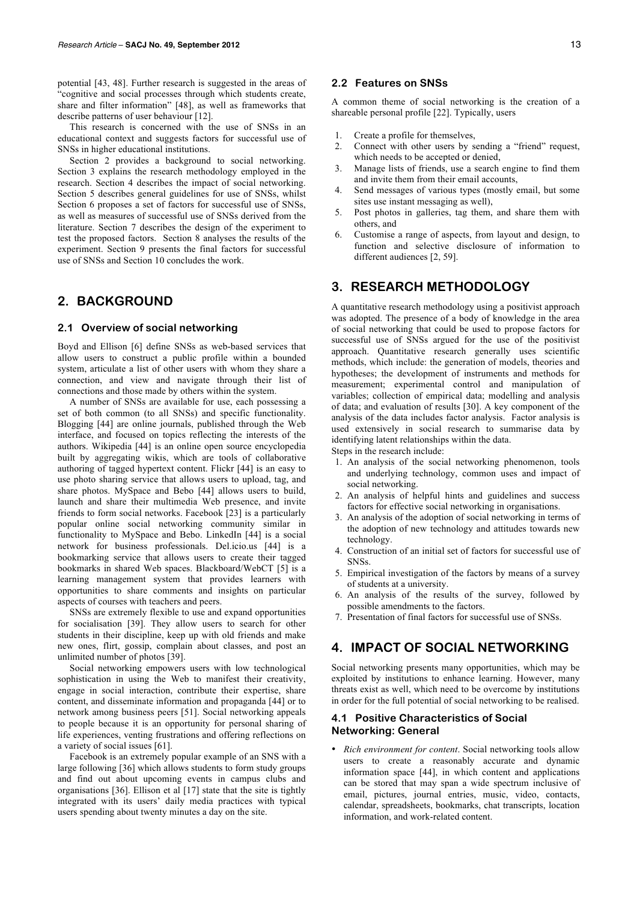potential [43, 48]. Further research is suggested in the areas of "cognitive and social processes through which students create, share and filter information" [48], as well as frameworks that describe patterns of user behaviour [12].

This research is concerned with the use of SNSs in an educational context and suggests factors for successful use of SNSs in higher educational institutions.

Section 2 provides a background to social networking. Section 3 explains the research methodology employed in the research. Section 4 describes the impact of social networking. Section 5 describes general guidelines for use of SNSs, whilst Section 6 proposes a set of factors for successful use of SNSs, as well as measures of successful use of SNSs derived from the literature. Section 7 describes the design of the experiment to test the proposed factors. Section 8 analyses the results of the experiment. Section 9 presents the final factors for successful use of SNSs and Section 10 concludes the work.

### **2. BACKGROUND**

#### **2.1 Overview of social networking**

Boyd and Ellison [6] define SNSs as web-based services that allow users to construct a public profile within a bounded system, articulate a list of other users with whom they share a connection, and view and navigate through their list of connections and those made by others within the system.

A number of SNSs are available for use, each possessing a set of both common (to all SNSs) and specific functionality. Blogging [44] are online journals, published through the Web interface, and focused on topics reflecting the interests of the authors. Wikipedia [44] is an online open source encyclopedia built by aggregating wikis, which are tools of collaborative authoring of tagged hypertext content. Flickr [44] is an easy to use photo sharing service that allows users to upload, tag, and share photos. MySpace and Bebo [44] allows users to build, launch and share their multimedia Web presence, and invite friends to form social networks. Facebook [23] is a particularly popular online social networking community similar in functionality to MySpace and Bebo. LinkedIn [44] is a social network for business professionals. Del.icio.us [44] is a bookmarking service that allows users to create their tagged bookmarks in shared Web spaces. Blackboard/WebCT [5] is a learning management system that provides learners with opportunities to share comments and insights on particular aspects of courses with teachers and peers.

SNSs are extremely flexible to use and expand opportunities for socialisation [39]. They allow users to search for other students in their discipline, keep up with old friends and make new ones, flirt, gossip, complain about classes, and post an unlimited number of photos [39].

Social networking empowers users with low technological sophistication in using the Web to manifest their creativity, engage in social interaction, contribute their expertise, share content, and disseminate information and propaganda [44] or to network among business peers [51]. Social networking appeals to people because it is an opportunity for personal sharing of life experiences, venting frustrations and offering reflections on a variety of social issues [61].

Facebook is an extremely popular example of an SNS with a large following [36] which allows students to form study groups and find out about upcoming events in campus clubs and organisations [36]. Ellison et al [17] state that the site is tightly integrated with its users' daily media practices with typical users spending about twenty minutes a day on the site.

#### **2.2 Features on SNSs**

A common theme of social networking is the creation of a shareable personal profile [22]. Typically, users

- 1. Create a profile for themselves,
- 2. Connect with other users by sending a "friend" request, which needs to be accepted or denied,
- 3. Manage lists of friends, use a search engine to find them and invite them from their email accounts,
- 4. Send messages of various types (mostly email, but some sites use instant messaging as well),
- 5. Post photos in galleries, tag them, and share them with others, and
- 6. Customise a range of aspects, from layout and design, to function and selective disclosure of information to different audiences [2, 59].

# **3. RESEARCH METHODOLOGY**

A quantitative research methodology using a positivist approach was adopted. The presence of a body of knowledge in the area of social networking that could be used to propose factors for successful use of SNSs argued for the use of the positivist approach. Quantitative research generally uses scientific methods, which include: the generation of models, theories and hypotheses; the development of instruments and methods for measurement; experimental control and manipulation of variables; collection of empirical data; modelling and analysis of data; and evaluation of results [30]. A key component of the analysis of the data includes factor analysis. Factor analysis is used extensively in social research to summarise data by identifying latent relationships within the data.

Steps in the research include:

- 1. An analysis of the social networking phenomenon, tools and underlying technology, common uses and impact of social networking.
- 2. An analysis of helpful hints and guidelines and success factors for effective social networking in organisations.
- 3. An analysis of the adoption of social networking in terms of the adoption of new technology and attitudes towards new technology.
- 4. Construction of an initial set of factors for successful use of SNSs.
- 5. Empirical investigation of the factors by means of a survey of students at a university.
- 6. An analysis of the results of the survey, followed by possible amendments to the factors.
- 7. Presentation of final factors for successful use of SNSs.

### **4. IMPACT OF SOCIAL NETWORKING**

Social networking presents many opportunities, which may be exploited by institutions to enhance learning. However, many threats exist as well, which need to be overcome by institutions in order for the full potential of social networking to be realised.

### **4.1 Positive Characteristics of Social Networking: General**

• *Rich environment for content*. Social networking tools allow users to create a reasonably accurate and dynamic information space [44], in which content and applications can be stored that may span a wide spectrum inclusive of email, pictures, journal entries, music, video, contacts, calendar, spreadsheets, bookmarks, chat transcripts, location information, and work-related content.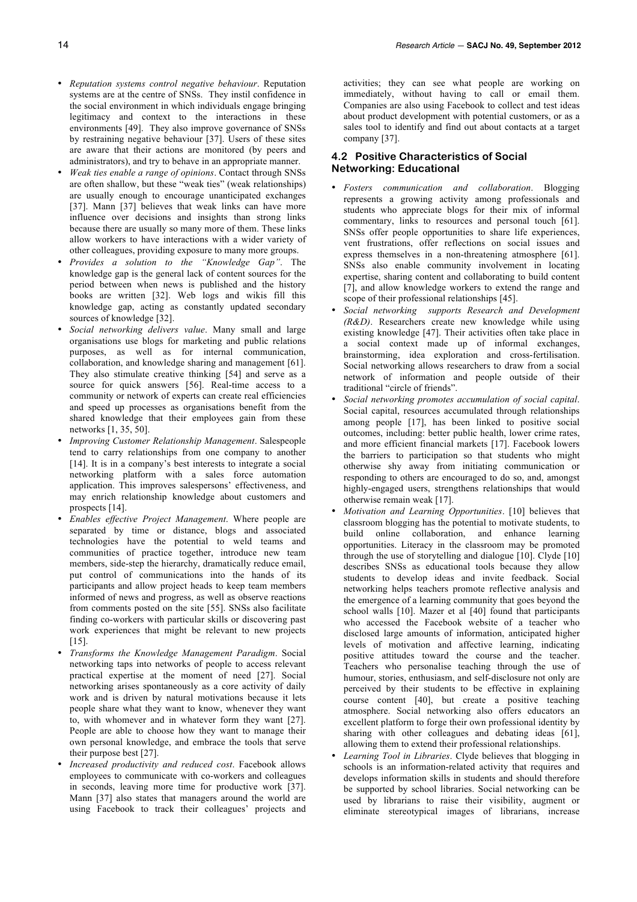- *Reputation systems control negative behaviour*. Reputation systems are at the centre of SNSs. They instil confidence in the social environment in which individuals engage bringing legitimacy and context to the interactions in these environments [49]. They also improve governance of SNSs by restraining negative behaviour [37]. Users of these sites are aware that their actions are monitored (by peers and administrators), and try to behave in an appropriate manner.
- *Weak ties enable a range of opinions*. Contact through SNSs are often shallow, but these "weak ties" (weak relationships) are usually enough to encourage unanticipated exchanges [37]. Mann [37] believes that weak links can have more influence over decisions and insights than strong links because there are usually so many more of them. These links allow workers to have interactions with a wider variety of other colleagues, providing exposure to many more groups.
- *Provides a solution to the "Knowledge Gap"*. The knowledge gap is the general lack of content sources for the period between when news is published and the history books are written [32]. Web logs and wikis fill this knowledge gap, acting as constantly updated secondary sources of knowledge [32].
- *Social networking delivers value*. Many small and large organisations use blogs for marketing and public relations purposes, as well as for internal communication, collaboration, and knowledge sharing and management [61]. They also stimulate creative thinking [54] and serve as a source for quick answers [56]. Real-time access to a community or network of experts can create real efficiencies and speed up processes as organisations benefit from the shared knowledge that their employees gain from these networks [1, 35, 50].
- *Improving Customer Relationship Management*. Salespeople tend to carry relationships from one company to another [14]. It is in a company's best interests to integrate a social networking platform with a sales force automation application. This improves salespersons' effectiveness, and may enrich relationship knowledge about customers and prospects [14].
- *Enables effective Project Management*. Where people are separated by time or distance, blogs and associated technologies have the potential to weld teams and communities of practice together, introduce new team members, side-step the hierarchy, dramatically reduce email, put control of communications into the hands of its participants and allow project heads to keep team members informed of news and progress, as well as observe reactions from comments posted on the site [55]. SNSs also facilitate finding co-workers with particular skills or discovering past work experiences that might be relevant to new projects [15].
- *Transforms the Knowledge Management Paradigm*. Social networking taps into networks of people to access relevant practical expertise at the moment of need [27]. Social networking arises spontaneously as a core activity of daily work and is driven by natural motivations because it lets people share what they want to know, whenever they want to, with whomever and in whatever form they want [27]. People are able to choose how they want to manage their own personal knowledge, and embrace the tools that serve their purpose best [27].
- *Increased productivity and reduced cost*. Facebook allows employees to communicate with co-workers and colleagues in seconds, leaving more time for productive work [37]. Mann [37] also states that managers around the world are using Facebook to track their colleagues' projects and

activities; they can see what people are working on immediately, without having to call or email them. Companies are also using Facebook to collect and test ideas about product development with potential customers, or as a sales tool to identify and find out about contacts at a target company [37].

### **4.2 Positive Characteristics of Social Networking: Educational**

- *Fosters communication and collaboration*. Blogging represents a growing activity among professionals and students who appreciate blogs for their mix of informal commentary, links to resources and personal touch [61]. SNSs offer people opportunities to share life experiences, vent frustrations, offer reflections on social issues and express themselves in a non-threatening atmosphere [61]. SNSs also enable community involvement in locating expertise, sharing content and collaborating to build content [7], and allow knowledge workers to extend the range and scope of their professional relationships [45].
- *Social networking supports Research and Development (R&D)*. Researchers create new knowledge while using existing knowledge [47]. Their activities often take place in a social context made up of informal exchanges, brainstorming, idea exploration and cross-fertilisation. Social networking allows researchers to draw from a social network of information and people outside of their traditional "circle of friends".
- *Social networking promotes accumulation of social capital*. Social capital, resources accumulated through relationships among people [17], has been linked to positive social outcomes, including: better public health, lower crime rates, and more efficient financial markets [17]. Facebook lowers the barriers to participation so that students who might otherwise shy away from initiating communication or responding to others are encouraged to do so, and, amongst highly-engaged users, strengthens relationships that would otherwise remain weak [17].
- *Motivation and Learning Opportunities*. [10] believes that classroom blogging has the potential to motivate students, to build online collaboration, and enhance learning opportunities. Literacy in the classroom may be promoted through the use of storytelling and dialogue [10]. Clyde [10] describes SNSs as educational tools because they allow students to develop ideas and invite feedback. Social networking helps teachers promote reflective analysis and the emergence of a learning community that goes beyond the school walls [10]. Mazer et al [40] found that participants who accessed the Facebook website of a teacher who disclosed large amounts of information, anticipated higher levels of motivation and affective learning, indicating positive attitudes toward the course and the teacher. Teachers who personalise teaching through the use of humour, stories, enthusiasm, and self-disclosure not only are perceived by their students to be effective in explaining course content [40], but create a positive teaching atmosphere. Social networking also offers educators an excellent platform to forge their own professional identity by sharing with other colleagues and debating ideas [61], allowing them to extend their professional relationships.
- *Learning Tool in Libraries*. Clyde believes that blogging in schools is an information-related activity that requires and develops information skills in students and should therefore be supported by school libraries. Social networking can be used by librarians to raise their visibility, augment or eliminate stereotypical images of librarians, increase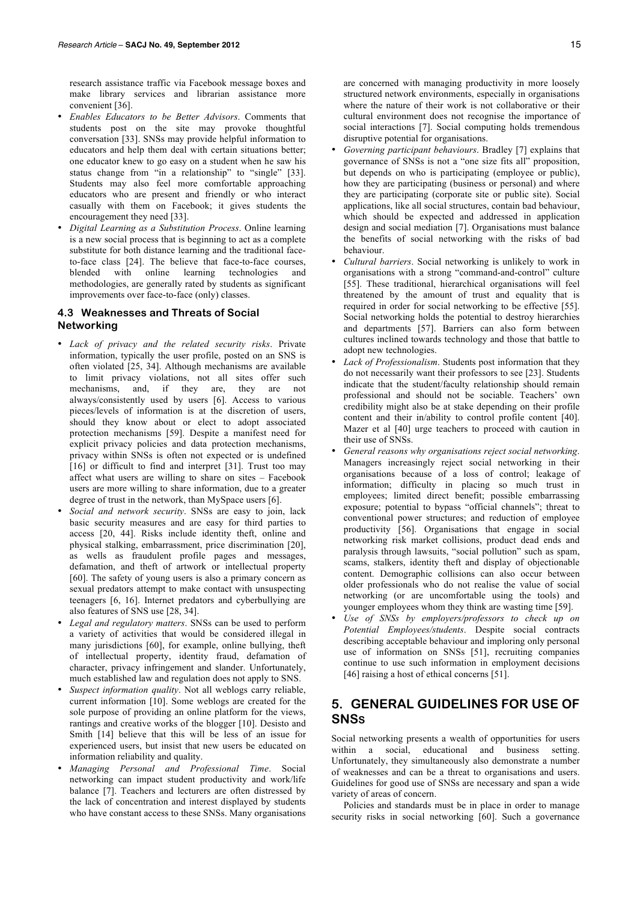research assistance traffic via Facebook message boxes and make library services and librarian assistance more convenient [36].

- *Enables Educators to be Better Advisors*. Comments that students post on the site may provoke thoughtful conversation [33]. SNSs may provide helpful information to educators and help them deal with certain situations better; one educator knew to go easy on a student when he saw his status change from "in a relationship" to "single" [33]. Students may also feel more comfortable approaching educators who are present and friendly or who interact casually with them on Facebook; it gives students the encouragement they need [33].
- *Digital Learning as a Substitution Process*. Online learning is a new social process that is beginning to act as a complete substitute for both distance learning and the traditional faceto-face class [24]. The believe that face-to-face courses, blended with online learning technologies and methodologies, are generally rated by students as significant improvements over face-to-face (only) classes.

### **4.3 Weaknesses and Threats of Social Networking**

- *Lack of privacy and the related security risks*. Private information, typically the user profile, posted on an SNS is often violated [25, 34]. Although mechanisms are available to limit privacy violations, not all sites offer such mechanisms, and, if they are, they are not always/consistently used by users [6]. Access to various pieces/levels of information is at the discretion of users, should they know about or elect to adopt associated protection mechanisms [59]. Despite a manifest need for explicit privacy policies and data protection mechanisms, privacy within SNSs is often not expected or is undefined [16] or difficult to find and interpret [31]. Trust too may affect what users are willing to share on sites – Facebook users are more willing to share information, due to a greater degree of trust in the network, than MySpace users [6].
- *Social and network security*. SNSs are easy to join, lack basic security measures and are easy for third parties to access [20, 44]. Risks include identity theft, online and physical stalking, embarrassment, price discrimination [20], as wells as fraudulent profile pages and messages, defamation, and theft of artwork or intellectual property [60]. The safety of young users is also a primary concern as sexual predators attempt to make contact with unsuspecting teenagers [6, 16]. Internet predators and cyberbullying are also features of SNS use [28, 34].
- *Legal and regulatory matters*. SNSs can be used to perform a variety of activities that would be considered illegal in many jurisdictions [60], for example, online bullying, theft of intellectual property, identity fraud, defamation of character, privacy infringement and slander. Unfortunately, much established law and regulation does not apply to SNS.
- *Suspect information quality*. Not all weblogs carry reliable, current information [10]. Some weblogs are created for the sole purpose of providing an online platform for the views, rantings and creative works of the blogger [10]. Desisto and Smith [14] believe that this will be less of an issue for experienced users, but insist that new users be educated on information reliability and quality.
- *Managing Personal and Professional Time*. Social networking can impact student productivity and work/life balance [7]. Teachers and lecturers are often distressed by the lack of concentration and interest displayed by students who have constant access to these SNSs. Many organisations

are concerned with managing productivity in more loosely structured network environments, especially in organisations where the nature of their work is not collaborative or their cultural environment does not recognise the importance of social interactions [7]. Social computing holds tremendous disruptive potential for organisations.

- *Governing participant behaviours*. Bradley [7] explains that governance of SNSs is not a "one size fits all" proposition, but depends on who is participating (employee or public), how they are participating (business or personal) and where they are participating (corporate site or public site). Social applications, like all social structures, contain bad behaviour, which should be expected and addressed in application design and social mediation [7]. Organisations must balance the benefits of social networking with the risks of bad behaviour.
- *Cultural barriers*. Social networking is unlikely to work in organisations with a strong "command-and-control" culture [55]. These traditional, hierarchical organisations will feel threatened by the amount of trust and equality that is required in order for social networking to be effective [55]. Social networking holds the potential to destroy hierarchies and departments [57]. Barriers can also form between cultures inclined towards technology and those that battle to adopt new technologies.
- *Lack of Professionalism*. Students post information that they do not necessarily want their professors to see [23]. Students indicate that the student/faculty relationship should remain professional and should not be sociable. Teachers' own credibility might also be at stake depending on their profile content and their in/ability to control profile content [40]. Mazer et al [40] urge teachers to proceed with caution in their use of SNSs.
- *General reasons why organisations reject social networking*. Managers increasingly reject social networking in their organisations because of a loss of control; leakage of information; difficulty in placing so much trust in employees; limited direct benefit; possible embarrassing exposure; potential to bypass "official channels"; threat to conventional power structures; and reduction of employee productivity [56]. Organisations that engage in social networking risk market collisions, product dead ends and paralysis through lawsuits, "social pollution" such as spam, scams, stalkers, identity theft and display of objectionable content. Demographic collisions can also occur between older professionals who do not realise the value of social networking (or are uncomfortable using the tools) and younger employees whom they think are wasting time [59].
- *Use of SNSs by employers/professors to check up on Potential Employees/students*. Despite social contracts describing acceptable behaviour and imploring only personal use of information on SNSs [51], recruiting companies continue to use such information in employment decisions [46] raising a host of ethical concerns [51].

# **5. GENERAL GUIDELINES FOR USE OF SNSS**

Social networking presents a wealth of opportunities for users within a social, educational and business setting. Unfortunately, they simultaneously also demonstrate a number of weaknesses and can be a threat to organisations and users. Guidelines for good use of SNSs are necessary and span a wide variety of areas of concern.

Policies and standards must be in place in order to manage security risks in social networking [60]. Such a governance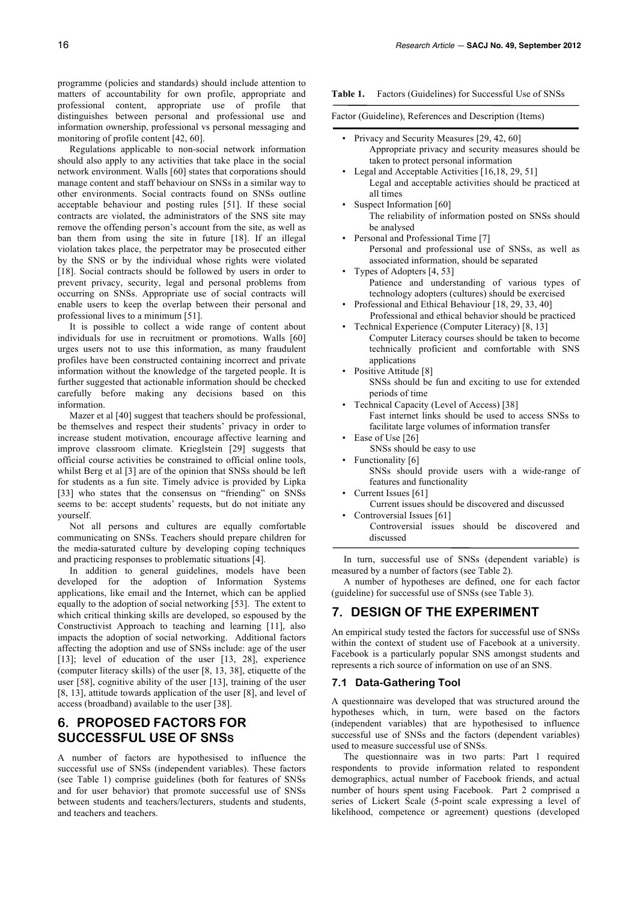programme (policies and standards) should include attention to matters of accountability for own profile, appropriate and professional content, appropriate use of profile that distinguishes between personal and professional use and information ownership, professional vs personal messaging and monitoring of profile content [42, 60].

Regulations applicable to non-social network information should also apply to any activities that take place in the social network environment. Walls [60] states that corporations should manage content and staff behaviour on SNSs in a similar way to other environments. Social contracts found on SNSs outline acceptable behaviour and posting rules [51]. If these social contracts are violated, the administrators of the SNS site may remove the offending person's account from the site, as well as ban them from using the site in future [18]. If an illegal violation takes place, the perpetrator may be prosecuted either by the SNS or by the individual whose rights were violated [18]. Social contracts should be followed by users in order to prevent privacy, security, legal and personal problems from occurring on SNSs. Appropriate use of social contracts will enable users to keep the overlap between their personal and professional lives to a minimum [51].

It is possible to collect a wide range of content about individuals for use in recruitment or promotions. Walls [60] urges users not to use this information, as many fraudulent profiles have been constructed containing incorrect and private information without the knowledge of the targeted people. It is further suggested that actionable information should be checked carefully before making any decisions based on this information.

Mazer et al [40] suggest that teachers should be professional, be themselves and respect their students' privacy in order to increase student motivation, encourage affective learning and improve classroom climate. Krieglstein [29] suggests that official course activities be constrained to official online tools, whilst Berg et al [3] are of the opinion that SNSs should be left for students as a fun site. Timely advice is provided by Lipka [33] who states that the consensus on "friending" on SNSs seems to be: accept students' requests, but do not initiate any yourself.

Not all persons and cultures are equally comfortable communicating on SNSs. Teachers should prepare children for the media-saturated culture by developing coping techniques and practicing responses to problematic situations [4].

In addition to general guidelines, models have been developed for the adoption of Information Systems applications, like email and the Internet, which can be applied equally to the adoption of social networking [53]. The extent to which critical thinking skills are developed, so espoused by the Constructivist Approach to teaching and learning [11], also impacts the adoption of social networking. Additional factors affecting the adoption and use of SNSs include: age of the user [13]; level of education of the user [13, 28], experience (computer literacy skills) of the user [8, 13, 38], etiquette of the user [58], cognitive ability of the user [13], training of the user [8, 13], attitude towards application of the user [8], and level of access (broadband) available to the user [38].

# **6. PROPOSED FACTORS FOR SUCCESSFUL USE OF SNSS**

A number of factors are hypothesised to influence the successful use of SNSs (independent variables). These factors (see Table 1) comprise guidelines (both for features of SNSs and for user behavior) that promote successful use of SNSs between students and teachers/lecturers, students and students, and teachers and teachers.

**Table 1.** Factors (Guidelines) for Successful Use of SNSs

Factor (Guideline), References and Description (Items)

- Privacy and Security Measures [29, 42, 60] Appropriate privacy and security measures should be taken to protect personal information
- Legal and Acceptable Activities [16,18, 29, 51] Legal and acceptable activities should be practiced at all times
- Suspect Information [60] The reliability of information posted on SNSs should be analysed
- Personal and Professional Time [7] Personal and professional use of SNSs, as well as associated information, should be separated
- Types of Adopters [4, 53] Patience and understanding of various types of technology adopters (cultures) should be exercised
- Professional and Ethical Behaviour [18, 29, 33, 40] Professional and ethical behavior should be practiced
- Technical Experience (Computer Literacy) [8, 13] Computer Literacy courses should be taken to become technically proficient and comfortable with SNS applications
- Positive Attitude [8] SNSs should be fun and exciting to use for extended periods of time
- Technical Capacity (Level of Access) [38] Fast internet links should be used to access SNSs to facilitate large volumes of information transfer
- Ease of Use [26]
- SNSs should be easy to use
- Functionality [6] SNSs should provide users with a wide-range of
- features and functionality • Current Issues [61]
- Current issues should be discovered and discussed Controversial Issues [61]
	- Controversial issues should be discovered and discussed

In turn, successful use of SNSs (dependent variable) is measured by a number of factors (see Table 2).

A number of hypotheses are defined, one for each factor (guideline) for successful use of SNSs (see Table 3).

# **7. DESIGN OF THE EXPERIMENT**

An empirical study tested the factors for successful use of SNSs within the context of student use of Facebook at a university. Facebook is a particularly popular SNS amongst students and represents a rich source of information on use of an SNS.

#### **7.1 Data-Gathering Tool**

A questionnaire was developed that was structured around the hypotheses which, in turn, were based on the factors (independent variables) that are hypothesised to influence successful use of SNSs and the factors (dependent variables) used to measure successful use of SNSs.

The questionnaire was in two parts: Part 1 required respondents to provide information related to respondent demographics, actual number of Facebook friends, and actual number of hours spent using Facebook. Part 2 comprised a series of Lickert Scale (5-point scale expressing a level of likelihood, competence or agreement) questions (developed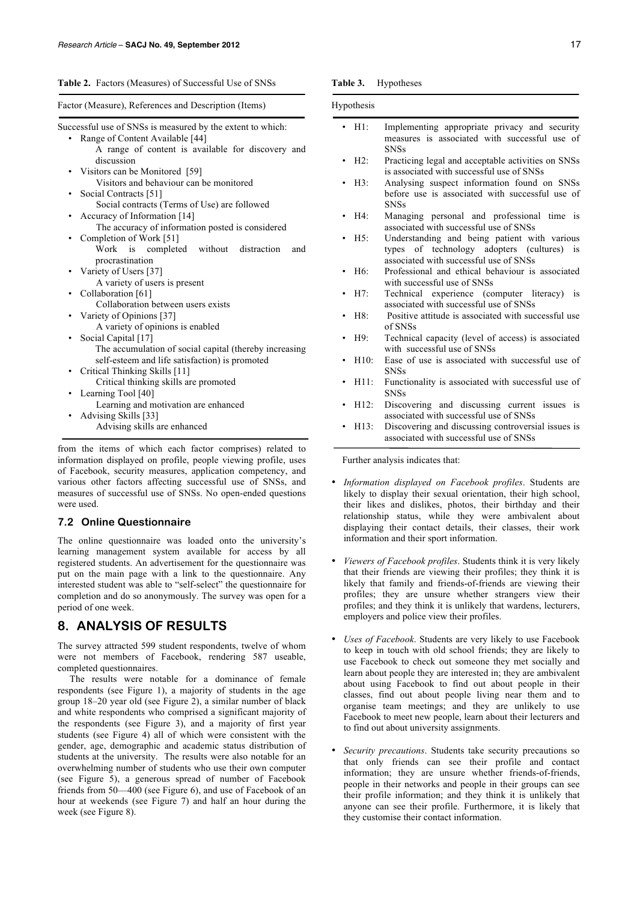| Factor (Measure), References and Description (Items) |  |  |  |
|------------------------------------------------------|--|--|--|
|------------------------------------------------------|--|--|--|

Successful use of SNSs is measured by the extent to which:

- Range of Content Available [44] A range of content is available for discovery a discussion
- Visitors can be Monitored [59] Visitors and behaviour can be monitored
- Social Contracts [51]
- Social contracts (Terms of Use) are followed Accuracy of Information [14]
- The accuracy of information posted is considered Completion of Work [51]
- Work is completed without distraction a procrastination
- Variety of Users [37]
- A variety of users is present
- Collaboration [61]
- Collaboration between users exists Variety of Opinions [37]
- A variety of opinions is enabled
- Social Capital [17] The accumulation of social capital (thereby increasi self-esteem and life satisfaction) is promoted
- Critical Thinking Skills [11] Critical thinking skills are promoted
- Learning Tool [40]
- Learning and motivation are enhanced • Advising Skills [33]
- Advising skills are enhanced

from the items of which each factor comprises) related to information displayed on profile, people viewing profile, uses of Facebook, security measures, application competency, and various other factors affecting successful use of SNSs, and measures of successful use of SNSs. No open-ended questions were used.

#### **7.2 Online Questionnaire**

The online questionnaire was loaded onto the university's learning management system available for access by all registered students. An advertisement for the questionnaire was put on the main page with a link to the questionnaire. Any interested student was able to "self-select" the questionnaire for completion and do so anonymously. The survey was open for a period of one week.

### **8. ANALYSIS OF RESULTS**

The survey attracted 599 student respondents, twelve of whom were not members of Facebook, rendering 587 useable, completed questionnaires.

The results were notable for a dominance of female respondents (see Figure 1), a majority of students in the age group 18–20 year old (see Figure 2), a similar number of black and white respondents who comprised a significant majority of the respondents (see Figure 3), and a majority of first year students (see Figure 4) all of which were consistent with the gender, age, demographic and academic status distribution of students at the university. The results were also notable for an overwhelming number of students who use their own computer (see Figure 5), a generous spread of number of Facebook friends from 50—400 (see Figure 6), and use of Facebook of an hour at weekends (see Figure 7) and half an hour during the week (see Figure 8).

| Hypothesis               |                                                                                                                                      |
|--------------------------|--------------------------------------------------------------------------------------------------------------------------------------|
| $\cdot$ H <sub>1</sub> : | Implementing appropriate privacy and security<br>measures is associated with successful use of<br><b>SNSs</b>                        |
| H2:                      | Practicing legal and acceptable activities on SNSs<br>is associated with successful use of SNSs                                      |
| H3:                      | Analysing suspect information found on SNSs<br>before use is associated with successful use of<br><b>SNSs</b>                        |
| H4:                      | Managing personal and professional time is<br>associated with successful use of SNSs                                                 |
| H5:                      | Understanding and being patient with various<br>types of technology adopters (cultures) is<br>associated with successful use of SNSs |
| H6:                      | Professional and ethical behaviour is associated<br>with successful use of SNSs                                                      |
| H7:                      | Technical experience (computer literacy) is<br>associated with successful use of SNSs                                                |
| H8:                      | Positive attitude is associated with successful use<br>of SNSs                                                                       |
| H9:                      | Technical capacity (level of access) is associated<br>with successful use of SNSs                                                    |
| H10:                     | Ease of use is associated with successful use of<br><b>SNSs</b>                                                                      |

- H11: Functionality is associated with successful use of SNSs
- H12: Discovering and discussing current issues is associated with successful use of SNSs
- H13: Discovering and discussing controversial issues is associated with successful use of SNSs

Further analysis indicates that:

- *Information displayed on Facebook profiles*. Students are likely to display their sexual orientation, their high school, their likes and dislikes, photos, their birthday and their relationship status, while they were ambivalent about displaying their contact details, their classes, their work information and their sport information.
- *Viewers of Facebook profiles*. Students think it is very likely that their friends are viewing their profiles; they think it is likely that family and friends-of-friends are viewing their profiles; they are unsure whether strangers view their profiles; and they think it is unlikely that wardens, lecturers, employers and police view their profiles.
- *Uses of Facebook*. Students are very likely to use Facebook to keep in touch with old school friends; they are likely to use Facebook to check out someone they met socially and learn about people they are interested in; they are ambivalent about using Facebook to find out about people in their classes, find out about people living near them and to organise team meetings; and they are unlikely to use Facebook to meet new people, learn about their lecturers and to find out about university assignments.
- *Security precautions*. Students take security precautions so that only friends can see their profile and contact information; they are unsure whether friends-of-friends, people in their networks and people in their groups can see their profile information; and they think it is unlikely that anyone can see their profile. Furthermore, it is likely that they customise their contact information.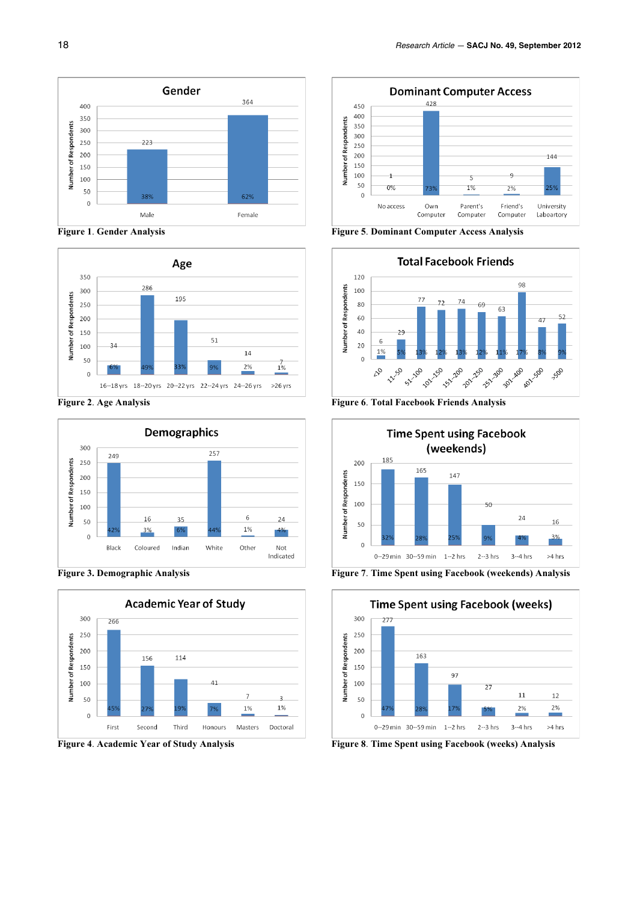

**Figure 1**. **Gender Analysis**



**Figure 2**. **Age Analysis**







**Figure 4**. **Academic Year of Study Analysis**



**Figure 5**. **Dominant Computer Access Analysis**



**Figure 6**. **Total Facebook Friends Analysis**



**Figure 7**. **Time Spent using Facebook (weekends) Analysis**



**Figure 8**. **Time Spent using Facebook (weeks) Analysis**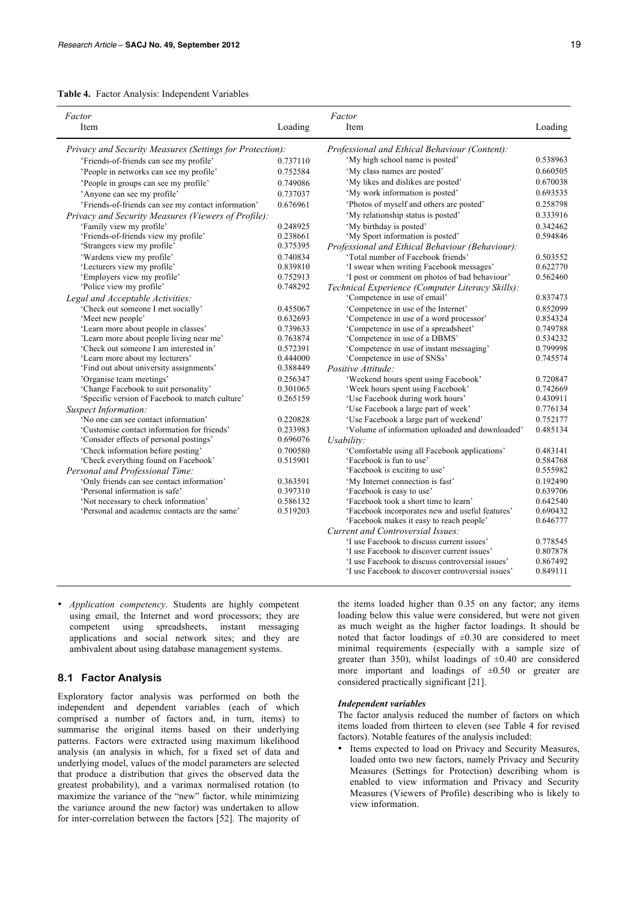|  |  |  | Table 4. Factor Analysis: Independent Variables |  |
|--|--|--|-------------------------------------------------|--|
|--|--|--|-------------------------------------------------|--|

| Factor                                                   |          | Factor                                            |          |
|----------------------------------------------------------|----------|---------------------------------------------------|----------|
| Item                                                     | Loading  | Item                                              | Loading  |
| Privacy and Security Measures (Settings for Protection): |          | Professional and Ethical Behaviour (Content):     |          |
| 'Friends-of-friends can see my profile'                  | 0.737110 | 'My high school name is posted'                   | 0.538963 |
| 'People in networks can see my profile'                  | 0.752584 | 'My class names are posted'                       | 0.660505 |
| 'People in groups can see my profile'                    | 0.749086 | 'My likes and dislikes are posted'                | 0.670038 |
| 'Anyone can see my profile'                              | 0.737037 | 'My work information is posted'                   | 0.693535 |
| 'Friends-of-friends can see my contact information'      | 0.676961 | 'Photos of myself and others are posted'          | 0.258798 |
| Privacy and Security Measures (Viewers of Profile):      |          | 'My relationship status is posted'                | 0.333916 |
| 'Family view my profile'                                 | 0.248925 | 'My birthday is posted'                           | 0.342462 |
| 'Friends-of-friends view my profile'                     | 0.238661 | 'My Sport information is posted'                  | 0.594846 |
| 'Strangers view my profile'                              | 0.375395 | Professional and Ethical Behaviour (Behaviour):   |          |
| 'Wardens view my profile'                                | 0.740834 | 'Total number of Facebook friends'                | 0.503552 |
| 'Lecturers view my profile'                              | 0.839810 | 'I swear when writing Facebook messages'          | 0.622770 |
| 'Employers view my profile'                              | 0.752913 | 'I post or comment on photos of bad behaviour'    | 0.562460 |
| 'Police view my profile'                                 | 0.748292 | Technical Experience (Computer Literacy Skills):  |          |
| Legal and Acceptable Activities:                         |          | 'Competence in use of email'                      | 0.837473 |
| 'Check out someone I met socially'                       | 0.455067 | 'Competence in use of the Internet'               | 0.852099 |
| 'Meet new people'                                        | 0.632693 | 'Competence in use of a word processor'           | 0.854324 |
| 'Learn more about people in classes'                     | 0.739633 | 'Competence in use of a spreadsheet'              | 0.749788 |
| 'Learn more about people living near me'                 | 0.763874 | 'Competence in use of a DBMS'                     | 0.534232 |
| 'Check out someone I am interested in'                   | 0.572391 | 'Competence in use of instant messaging'          | 0.799998 |
| 'Learn more about my lecturers'                          | 0.444000 | 'Competence in use of SNSs'                       | 0.745574 |
| 'Find out about university assignments'                  | 0.388449 | Positive Attitude:                                |          |
| 'Organise team meetings'                                 | 0.256347 | 'Weekend hours spent using Facebook'              | 0.720847 |
| 'Change Facebook to suit personality'                    | 0.301065 | 'Week hours spent using Facebook'                 | 0.742669 |
| 'Specific version of Facebook to match culture'          | 0.265159 | 'Use Facebook during work hours'                  | 0.430911 |
| <b>Suspect Information:</b>                              |          | 'Use Facebook a large part of week'               | 0.776134 |
| 'No one can see contact information'                     | 0.220828 | 'Use Facebook a large part of weekend'            | 0.752177 |
| 'Customise contact information for friends'              | 0.233983 | 'Volume of information uploaded and downloaded'   | 0.485134 |
| 'Consider effects of personal postings'                  | 0.696076 | Usability:                                        |          |
| 'Check information before posting'                       | 0.700580 | 'Comfortable using all Facebook applications'     | 0.483141 |
| 'Check everything found on Facebook'                     | 0.515901 | 'Facebook is fun to use'                          | 0.584768 |
| Personal and Professional Time:                          |          | 'Facebook is exciting to use'                     | 0.555982 |
| 'Only friends can see contact information'               | 0.363591 | 'My Internet connection is fast'                  | 0.192490 |
| 'Personal information is safe'                           | 0.397310 | 'Facebook is easy to use'                         | 0.639706 |
| 'Not necessary to check information'                     | 0.586132 | 'Facebook took a short time to learn'             | 0.642540 |
| 'Personal and academic contacts are the same'            | 0.519203 | 'Facebook incorporates new and useful features'   | 0.690432 |
|                                                          |          | 'Facebook makes it easy to reach people'          | 0.646777 |
|                                                          |          | Current and Controversial Issues:                 |          |
|                                                          |          | 'I use Facebook to discuss current issues'        | 0.778545 |
|                                                          |          | 'I use Facebook to discover current issues'       | 0.807878 |
|                                                          |          | 'I use Facebook to discuss controversial issues'  | 0.867492 |
|                                                          |          | 'I use Facebook to discover controversial issues' | 0.849111 |

• *Application competency*. Students are highly competent using email, the Internet and word processors; they are competent using spreadsheets, instant messaging applications and social network sites; and they are ambivalent about using database management systems.

### **8.1 Factor Analysis**

Exploratory factor analysis was performed on both the independent and dependent variables (each of which comprised a number of factors and, in turn, items) to summarise the original items based on their underlying patterns. Factors were extracted using maximum likelihood analysis (an analysis in which, for a fixed set of data and underlying model, values of the model parameters are selected that produce a distribution that gives the observed data the greatest probability), and a varimax normalised rotation (to maximize the variance of the "new" factor, while minimizing the variance around the new factor) was undertaken to allow for inter-correlation between the factors [52]. The majority of

the items loaded higher than 0.35 on any factor; any items loading below this value were considered, but were not given as much weight as the higher factor loadings. It should be noted that factor loadings of  $\pm 0.30$  are considered to meet minimal requirements (especially with a sample size of greater than 350), whilst loadings of  $\pm 0.40$  are considered more important and loadings of  $\pm 0.50$  or greater are considered practically significant [21].

#### *Independent variables*

The factor analysis reduced the number of factors on which items loaded from thirteen to eleven (see Table 4 for revised factors). Notable features of the analysis included:

Items expected to load on Privacy and Security Measures, loaded onto two new factors, namely Privacy and Security Measures (Settings for Protection) describing whom is enabled to view information and Privacy and Security Measures (Viewers of Profile) describing who is likely to view information.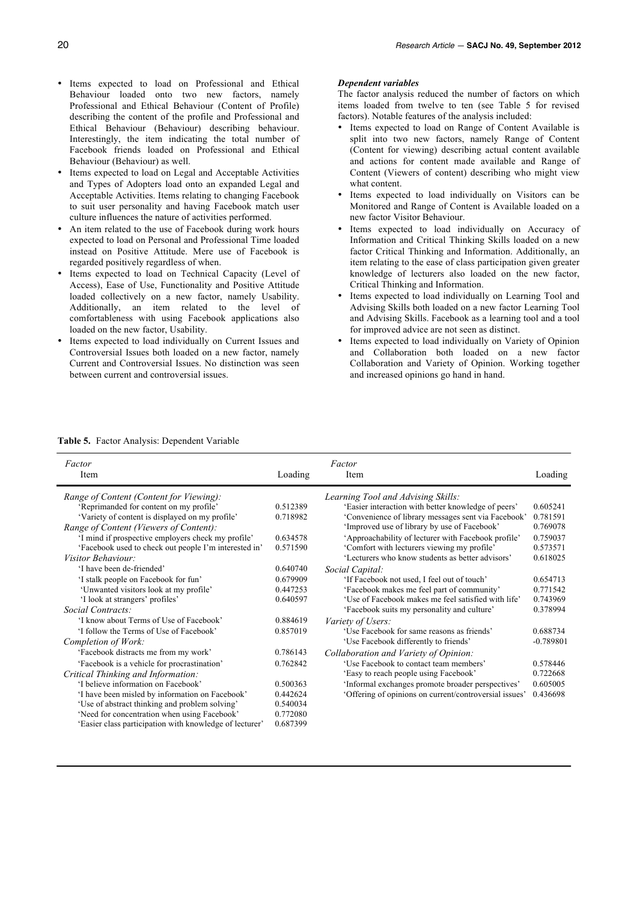- Items expected to load on Professional and Ethical Behaviour loaded onto two new factors, namely Professional and Ethical Behaviour (Content of Profile) describing the content of the profile and Professional and Ethical Behaviour (Behaviour) describing behaviour. Interestingly, the item indicating the total number of Facebook friends loaded on Professional and Ethical Behaviour (Behaviour) as well.
- Items expected to load on Legal and Acceptable Activities and Types of Adopters load onto an expanded Legal and Acceptable Activities. Items relating to changing Facebook to suit user personality and having Facebook match user culture influences the nature of activities performed.
- An item related to the use of Facebook during work hours expected to load on Personal and Professional Time loaded instead on Positive Attitude. Mere use of Facebook is regarded positively regardless of when.
- Items expected to load on Technical Capacity (Level of Access), Ease of Use, Functionality and Positive Attitude loaded collectively on a new factor, namely Usability. Additionally, an item related to the level of comfortableness with using Facebook applications also loaded on the new factor, Usability.
- Items expected to load individually on Current Issues and Controversial Issues both loaded on a new factor, namely Current and Controversial Issues. No distinction was seen between current and controversial issues.

#### *Dependent variables*

The factor analysis reduced the number of factors on which items loaded from twelve to ten (see Table 5 for revised factors). Notable features of the analysis included:

- Items expected to load on Range of Content Available is split into two new factors, namely Range of Content (Content for viewing) describing actual content available and actions for content made available and Range of Content (Viewers of content) describing who might view what content.
- Items expected to load individually on Visitors can be Monitored and Range of Content is Available loaded on a new factor Visitor Behaviour.
- Items expected to load individually on Accuracy of Information and Critical Thinking Skills loaded on a new factor Critical Thinking and Information. Additionally, an item relating to the ease of class participation given greater knowledge of lecturers also loaded on the new factor, Critical Thinking and Information.
- Items expected to load individually on Learning Tool and Advising Skills both loaded on a new factor Learning Tool and Advising Skills. Facebook as a learning tool and a tool for improved advice are not seen as distinct.
- Items expected to load individually on Variety of Opinion and Collaboration both loaded on a new factor Collaboration and Variety of Opinion. Working together and increased opinions go hand in hand.

**Table 5.** Factor Analysis: Dependent Variable

| Factor<br>Item                                          | Loading  | Factor<br>Item                                         | Loading     |
|---------------------------------------------------------|----------|--------------------------------------------------------|-------------|
| Range of Content (Content for Viewing):                 |          | Learning Tool and Advising Skills:                     |             |
| 'Reprimanded for content on my profile'                 | 0.512389 | 'Easier interaction with better knowledge of peers'    | 0.605241    |
| 'Variety of content is displayed on my profile'         | 0.718982 | 'Convenience of library messages sent via Facebook'    | 0.781591    |
| Range of Content (Viewers of Content):                  |          | 'Improved use of library by use of Facebook'           | 0.769078    |
| I mind if prospective employers check my profile?       | 0.634578 | 'Approachability of lecturer with Facebook profile'    | 0.759037    |
| 'Facebook used to check out people I'm interested in'   | 0.571590 | 'Comfort with lecturers viewing my profile'            | 0.573571    |
| Visitor Behaviour:                                      |          | 'Lecturers who know students as better advisors'       | 0.618025    |
| 'I have been de-friended'                               | 0.640740 | Social Capital:                                        |             |
| 'I stalk people on Facebook for fun'                    | 0.679909 | 'If Facebook not used, I feel out of touch'            | 0.654713    |
| 'Unwanted visitors look at my profile'                  | 0.447253 | 'Facebook makes me feel part of community'             | 0.771542    |
| 'I look at strangers' profiles'                         | 0.640597 | 'Use of Facebook makes me feel satisfied with life'    | 0.743969    |
| Social Contracts:                                       |          | 'Facebook suits my personality and culture'            | 0.378994    |
| 'I know about Terms of Use of Facebook'                 | 0.884619 | Variety of Users:                                      |             |
| 'I follow the Terms of Use of Facebook'                 | 0.857019 | 'Use Facebook for same reasons as friends'             | 0.688734    |
| Completion of Work:                                     |          | 'Use Facebook differently to friends'                  | $-0.789801$ |
| 'Facebook distracts me from my work'                    | 0.786143 | Collaboration and Variety of Opinion:                  |             |
| 'Facebook is a vehicle for procrastination'             | 0.762842 | 'Use Facebook to contact team members'                 | 0.578446    |
| Critical Thinking and Information:                      |          | 'Easy to reach people using Facebook'                  | 0.722668    |
| 'I believe information on Facebook'                     | 0.500363 | 'Informal exchanges promote broader perspectives'      | 0.605005    |
| 'I have been misled by information on Facebook'         | 0.442624 | 'Offering of opinions on current/controversial issues' | 0.436698    |
| 'Use of abstract thinking and problem solving'          | 0.540034 |                                                        |             |
| 'Need for concentration when using Facebook'            | 0.772080 |                                                        |             |
| 'Easier class participation with knowledge of lecturer' | 0.687399 |                                                        |             |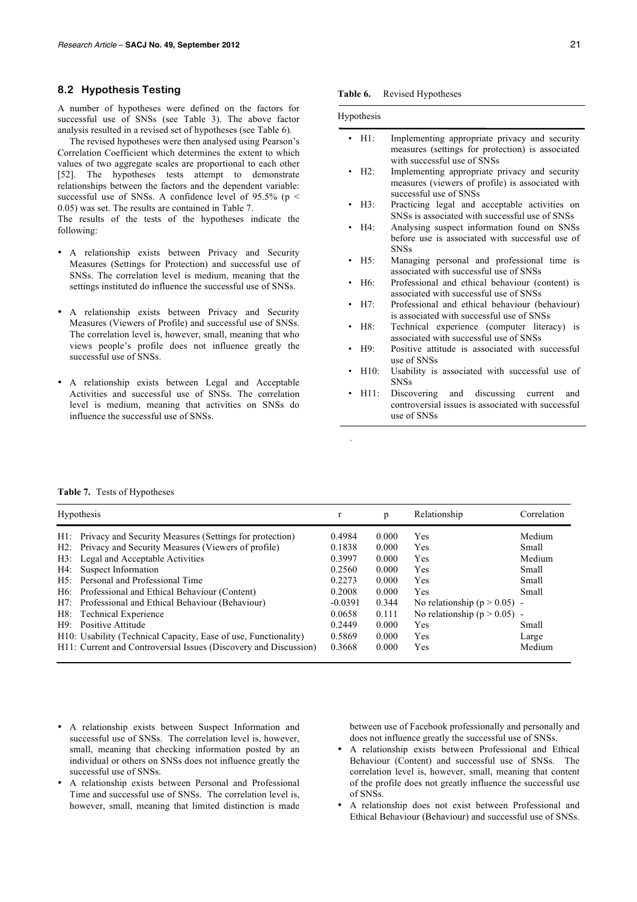### **8.2 Hypothesis Testing**

A number of hypotheses were defined on the factors for successful use of SNSs (see Table 3). The above factor analysis resulted in a revised set of hypotheses (see Table 6).

The revised hypotheses were then analysed using Pearson's Correlation Coefficient which determines the extent to which values of two aggregate scales are proportional to each other [52]. The hypotheses tests attempt to demonstrate relationships between the factors and the dependent variable: successful use of SNSs. A confidence level of 95.5% ( $p <$ 0.05) was set. The results are contained in Table 7.

The results of the tests of the hypotheses indicate the following:

- A relationship exists between Privacy and Security Measures (Settings for Protection) and successful use of SNSs. The correlation level is medium, meaning that the settings instituted do influence the successful use of SNSs.
- A relationship exists between Privacy and Security Measures (Viewers of Profile) and successful use of SNSs. The correlation level is, however, small, meaning that who views people's profile does not influence greatly the successful use of SNSs.
- A relationship exists between Legal and Acceptable Activities and successful use of SNSs. The correlation level is medium, meaning that activities on SNSs do influence the successful use of SNSs.

**Table 6.** Revised Hypotheses

| Hypothesis |  |
|------------|--|
|            |  |
|            |  |

- H1: Implementing appropriate privacy and security measures (settings for protection) is associated with successful use of SNSs
- H2: Implementing appropriate privacy and security measures (viewers of profile) is associated with successful use of SNSs
- H3: Practicing legal and acceptable activities on SNSs is associated with successful use of SNSs
- H4: Analysing suspect information found on SNSs before use is associated with successful use of **SNSs**
- H5: Managing personal and professional time is associated with successful use of SNSs
- H6: Professional and ethical behaviour (content) is associated with successful use of SNSs
- H7: Professional and ethical behaviour (behaviour) is associated with successful use of SNSs
- H8: Technical experience (computer literacy) is associated with successful use of SNSs
- H9: Positive attitude is associated with successful use of SNSs
- H10: Usability is associated with successful use of SNSs
- H11: Discovering and discussing current and controversial issues is associated with successful use of SNSs

#### **Table 7.** Tests of Hypotheses

| <b>Hypothesis</b>                                                            |           | p     | Relationship                     | Correlation |
|------------------------------------------------------------------------------|-----------|-------|----------------------------------|-------------|
| H1: Privacy and Security Measures (Settings for protection)                  | 0.4984    | 0.000 | <b>Yes</b>                       | Medium      |
| H2: Privacy and Security Measures (Viewers of profile)                       | 0.1838    | 0.000 | Yes                              | Small       |
| H3: Legal and Acceptable Activities                                          | 0.3997    | 0.000 | <b>Yes</b>                       | Medium      |
| H4: Suspect Information                                                      | 0.2560    | 0.000 | <b>Yes</b>                       | Small       |
| H <sub>5</sub> : Personal and Professional Time                              | 0.2273    | 0.000 | Yes                              | Small       |
| H6: Professional and Ethical Behaviour (Content)                             | 0.2008    | 0.000 | Yes                              | Small       |
| H7: Professional and Ethical Behaviour (Behaviour)                           | $-0.0391$ | 0.344 | No relationship ( $p > 0.05$ ) - |             |
| H8: Technical Experience                                                     | 0.0658    | 0.111 | No relationship ( $p > 0.05$ ) - |             |
| H9: Positive Attitude                                                        | 0.2449    | 0.000 | Yes                              | Small       |
| H <sub>10</sub> : Usability (Technical Capacity, Ease of use, Functionality) | 0.5869    | 0.000 | <b>Yes</b>                       | Large       |
| H11: Current and Controversial Issues (Discovery and Discussion)             | 0.3668    | 0.000 | Yes                              | Medium      |

.

- A relationship exists between Suspect Information and successful use of SNSs. The correlation level is, however, small, meaning that checking information posted by an individual or others on SNSs does not influence greatly the successful use of SNSs.
- A relationship exists between Personal and Professional Time and successful use of SNSs. The correlation level is, however, small, meaning that limited distinction is made

between use of Facebook professionally and personally and does not influence greatly the successful use of SNSs.

- A relationship exists between Professional and Ethical Behaviour (Content) and successful use of SNSs. The correlation level is, however, small, meaning that content of the profile does not greatly influence the successful use of SNSs.
- A relationship does not exist between Professional and Ethical Behaviour (Behaviour) and successful use of SNSs.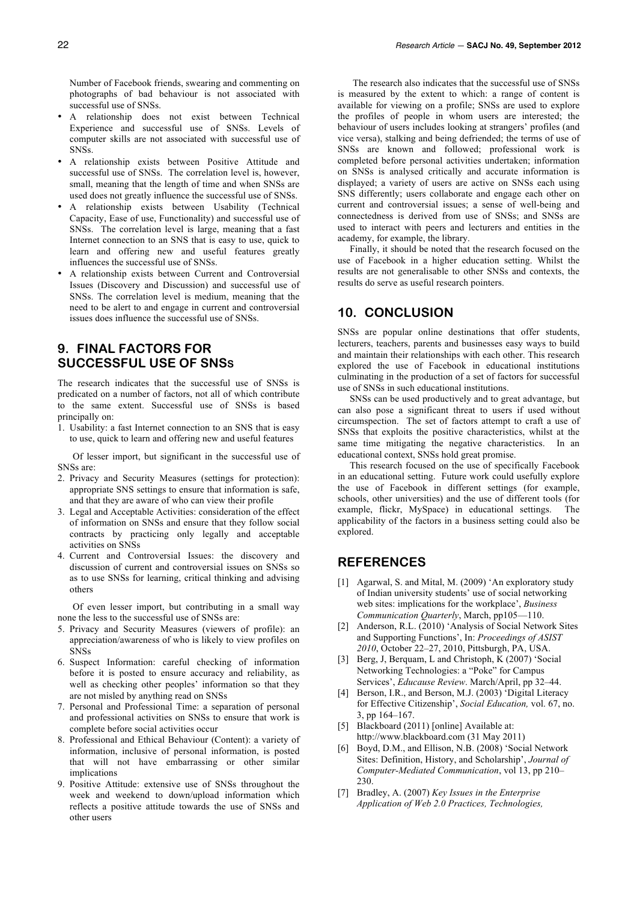Number of Facebook friends, swearing and commenting on photographs of bad behaviour is not associated with successful use of SNSs.

- A relationship does not exist between Technical Experience and successful use of SNSs. Levels of computer skills are not associated with successful use of SNSs.
- A relationship exists between Positive Attitude and successful use of SNSs. The correlation level is, however, small, meaning that the length of time and when SNSs are used does not greatly influence the successful use of SNSs.
- A relationship exists between Usability (Technical Capacity, Ease of use, Functionality) and successful use of SNSs. The correlation level is large, meaning that a fast Internet connection to an SNS that is easy to use, quick to learn and offering new and useful features greatly influences the successful use of SNSs.
- A relationship exists between Current and Controversial Issues (Discovery and Discussion) and successful use of SNSs. The correlation level is medium, meaning that the need to be alert to and engage in current and controversial issues does influence the successful use of SNSs.

# **9. FINAL FACTORS FOR SUCCESSFUL USE OF SNSS**

The research indicates that the successful use of SNSs is predicated on a number of factors, not all of which contribute to the same extent. Successful use of SNSs is based principally on:

1. Usability: a fast Internet connection to an SNS that is easy to use, quick to learn and offering new and useful features

Of lesser import, but significant in the successful use of SNSs are:

- 2. Privacy and Security Measures (settings for protection): appropriate SNS settings to ensure that information is safe, and that they are aware of who can view their profile
- 3. Legal and Acceptable Activities: consideration of the effect of information on SNSs and ensure that they follow social contracts by practicing only legally and acceptable activities on SNSs
- 4. Current and Controversial Issues: the discovery and discussion of current and controversial issues on SNSs so as to use SNSs for learning, critical thinking and advising others

Of even lesser import, but contributing in a small way none the less to the successful use of SNSs are:

- 5. Privacy and Security Measures (viewers of profile): an appreciation/awareness of who is likely to view profiles on SNSs
- 6. Suspect Information: careful checking of information before it is posted to ensure accuracy and reliability, as well as checking other peoples' information so that they are not misled by anything read on SNSs
- 7. Personal and Professional Time: a separation of personal and professional activities on SNSs to ensure that work is complete before social activities occur
- 8. Professional and Ethical Behaviour (Content): a variety of information, inclusive of personal information, is posted that will not have embarrassing or other similar implications
- 9. Positive Attitude: extensive use of SNSs throughout the week and weekend to down/upload information which reflects a positive attitude towards the use of SNSs and other users

The research also indicates that the successful use of SNSs is measured by the extent to which: a range of content is available for viewing on a profile; SNSs are used to explore the profiles of people in whom users are interested; the behaviour of users includes looking at strangers' profiles (and vice versa), stalking and being defriended; the terms of use of SNSs are known and followed; professional work is completed before personal activities undertaken; information on SNSs is analysed critically and accurate information is displayed; a variety of users are active on SNSs each using SNS differently; users collaborate and engage each other on current and controversial issues; a sense of well-being and connectedness is derived from use of SNSs; and SNSs are used to interact with peers and lecturers and entities in the academy, for example, the library.

Finally, it should be noted that the research focused on the use of Facebook in a higher education setting. Whilst the results are not generalisable to other SNSs and contexts, the results do serve as useful research pointers.

### **10. CONCLUSION**

SNSs are popular online destinations that offer students, lecturers, teachers, parents and businesses easy ways to build and maintain their relationships with each other. This research explored the use of Facebook in educational institutions culminating in the production of a set of factors for successful use of SNSs in such educational institutions.

SNSs can be used productively and to great advantage, but can also pose a significant threat to users if used without circumspection. The set of factors attempt to craft a use of SNSs that exploits the positive characteristics, whilst at the same time mitigating the negative characteristics. In an educational context, SNSs hold great promise.

This research focused on the use of specifically Facebook in an educational setting. Future work could usefully explore the use of Facebook in different settings (for example, schools, other universities) and the use of different tools (for example, flickr, MySpace) in educational settings. The applicability of the factors in a business setting could also be explored.

### **REFERENCES**

- [1] Agarwal, S. and Mital, M. (2009) 'An exploratory study of Indian university students' use of social networking web sites: implications for the workplace', *Business Communication Quarterly*, March, pp105—110.
- [2] Anderson, R.L. (2010) 'Analysis of Social Network Sites and Supporting Functions', In: *Proceedings of ASIST 2010*, October 22–27, 2010, Pittsburgh, PA, USA.
- [3] Berg, J, Berquam, L and Christoph, K (2007) 'Social Networking Technologies: a "Poke" for Campus Services', *Educause Review*. March/April, pp 32–44.
- [4] Berson, I.R., and Berson, M.J. (2003) 'Digital Literacy for Effective Citizenship', *Social Education,* vol. 67, no. 3, pp 164–167.
- [5] Blackboard (2011) [online] Available at: http://www.blackboard.com (31 May 2011)
- [6] Boyd, D.M., and Ellison, N.B. (2008) 'Social Network Sites: Definition, History, and Scholarship', *Journal of Computer-Mediated Communication*, vol 13, pp 210– 230.
- [7] Bradley, A. (2007) *Key Issues in the Enterprise Application of Web 2.0 Practices, Technologies,*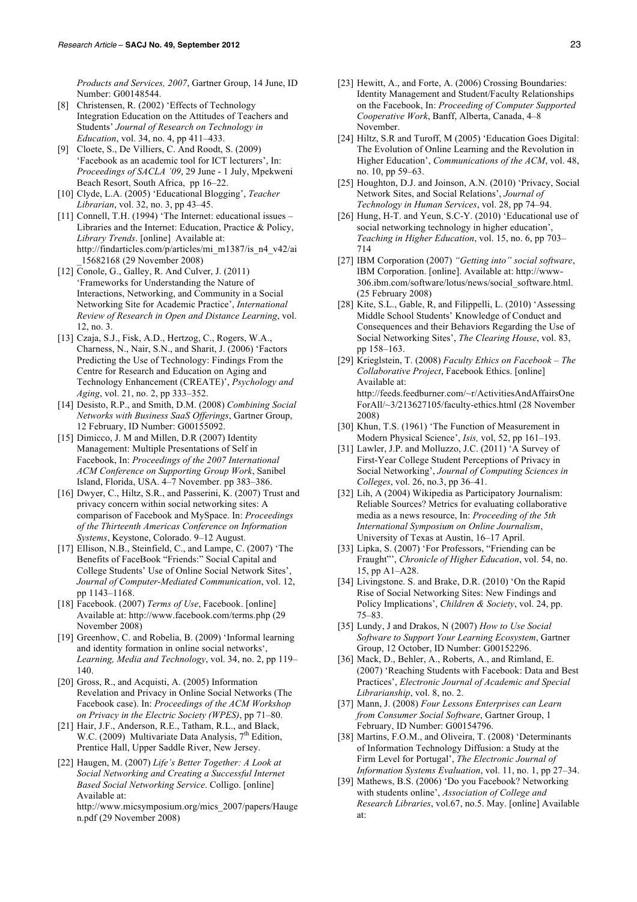*Products and Services, 2007*, Gartner Group, 14 June, ID Number: G00148544.

- [8] Christensen, R. (2002) 'Effects of Technology Integration Education on the Attitudes of Teachers and Students' *Journal of Research on Technology in Education*, vol. 34, no. 4, pp 411–433.
- [9] Cloete, S., De Villiers, C. And Roodt, S. (2009) 'Facebook as an academic tool for ICT lecturers', In: *Proceedings of SACLA '09*, 29 June - 1 July, Mpekweni Beach Resort, South Africa, pp 16–22.
- [10] Clyde, L.A. (2005) 'Educational Blogging', *Teacher Librarian*, vol. 32, no. 3, pp 43–45.
- [11] Connell, T.H. (1994) 'The Internet: educational issues Libraries and the Internet: Education, Practice & Policy, *Library Trends*. [online] Available at: http://findarticles.com/p/articles/mi\_m1387/is\_n4\_v42/ai \_15682168 (29 November 2008)
- [12] Conole, G., Galley, R. And Culver, J. (2011) 'Frameworks for Understanding the Nature of Interactions, Networking, and Community in a Social Networking Site for Academic Practice', *International Review of Research in Open and Distance Learning*, vol. 12, no. 3.
- [13] Czaja, S.J., Fisk, A.D., Hertzog, C., Rogers, W.A., Charness, N., Nair, S.N., and Sharit, J. (2006) 'Factors Predicting the Use of Technology: Findings From the Centre for Research and Education on Aging and Technology Enhancement (CREATE)', *Psychology and Aging*, vol. 21, no. 2, pp 333–352.
- [14] Desisto, R.P., and Smith, D.M. (2008) *Combining Social Networks with Business SaaS Offerings*, Gartner Group, 12 February, ID Number: G00155092.
- [15] Dimicco, J. M and Millen, D.R (2007) Identity Management: Multiple Presentations of Self in Facebook, In: *Proceedings of the 2007 International ACM Conference on Supporting Group Work*, Sanibel Island, Florida, USA. 4–7 November. pp 383–386.
- [16] Dwyer, C., Hiltz, S.R., and Passerini, K. (2007) Trust and privacy concern within social networking sites: A comparison of Facebook and MySpace. In: *Proceedings of the Thirteenth Americas Conference on Information Systems*, Keystone, Colorado. 9–12 August.
- [17] Ellison, N.B., Steinfield, C., and Lampe, C. (2007) 'The Benefits of FaceBook "Friends:" Social Capital and College Students' Use of Online Social Network Sites', *Journal of Computer-Mediated Communication*, vol. 12, pp 1143–1168.
- [18] Facebook. (2007) *Terms of Use*, Facebook. [online] Available at: http://www.facebook.com/terms.php (29 November 2008)
- [19] Greenhow, C. and Robelia, B. (2009) 'Informal learning and identity formation in online social networks', *Learning, Media and Technology*, vol. 34, no. 2, pp 119– 140.
- [20] Gross, R., and Acquisti, A. (2005) Information Revelation and Privacy in Online Social Networks (The Facebook case). In: *Proceedings of the ACM Workshop on Privacy in the Electric Society (WPES)*, pp 71–80.
- [21] Hair, J.F., Anderson, R.E., Tatham, R.L., and Black, W.C. (2009) Multivariate Data Analysis,  $7<sup>th</sup>$  Edition, Prentice Hall, Upper Saddle River, New Jersey.
- [22] Haugen, M. (2007) *Life's Better Together: A Look at Social Networking and Creating a Successful Internet Based Social Networking Service*. Colligo. [online] Available at:

http://www.micsymposium.org/mics\_2007/papers/Hauge n.pdf (29 November 2008)

- [23] Hewitt, A., and Forte, A. (2006) Crossing Boundaries: Identity Management and Student/Faculty Relationships on the Facebook, In: *Proceeding of Computer Supported Cooperative Work*, Banff, Alberta, Canada, 4–8 November.
- [24] Hiltz, S.R and Turoff, M (2005) 'Education Goes Digital: The Evolution of Online Learning and the Revolution in Higher Education', *Communications of the ACM*, vol. 48, no. 10, pp 59–63.
- [25] Houghton, D.J. and Joinson, A.N. (2010) 'Privacy, Social Network Sites, and Social Relations', *Journal of Technology in Human Services*, vol. 28, pp 74–94.
- [26] Hung, H-T. and Yeun, S.C-Y. (2010) 'Educational use of social networking technology in higher education', *Teaching in Higher Education*, vol. 15, no. 6, pp 703– 714
- [27] IBM Corporation (2007) *"Getting into" social software*, IBM Corporation. [online]. Available at: http://www-306.ibm.com/software/lotus/news/social\_software.html. (25 February 2008)
- [28] Kite, S.L., Gable, R, and Filippelli, L. (2010) 'Assessing Middle School Students' Knowledge of Conduct and Consequences and their Behaviors Regarding the Use of Social Networking Sites', *The Clearing House*, vol. 83, pp 158–163.
- [29] Krieglstein, T. (2008) *Faculty Ethics on Facebook – The Collaborative Project*, Facebook Ethics. [online] Available at: http://feeds.feedburner.com/~r/ActivitiesAndAffairsOne ForAll/~3/213627105/faculty-ethics.html (28 November 2008)
- [30] Khun, T.S. (1961) 'The Function of Measurement in Modern Physical Science', *Isis,* vol, 52, pp 161–193.
- [31] Lawler, J.P. and Molluzzo, J.C. (2011) 'A Survey of First-Year College Student Perceptions of Privacy in Social Networking', *Journal of Computing Sciences in Colleges*, vol. 26, no.3, pp 36–41.
- [32] Lih, A (2004) Wikipedia as Participatory Journalism: Reliable Sources? Metrics for evaluating collaborative media as a news resource, In: *Proceeding of the 5th International Symposium on Online Journalism*, University of Texas at Austin, 16–17 April.
- [33] Lipka, S. (2007) 'For Professors, "Friending can be Fraught"', *Chronicle of Higher Education*, vol. 54, no. 15, pp A1–A28.
- [34] Livingstone. S. and Brake, D.R. (2010) 'On the Rapid Rise of Social Networking Sites: New Findings and Policy Implications', *Children & Society*, vol. 24, pp. 75–83.
- [35] Lundy, J and Drakos, N (2007) *How to Use Social Software to Support Your Learning Ecosystem*, Gartner Group, 12 October, ID Number: G00152296.
- [36] Mack, D., Behler, A., Roberts, A., and Rimland, E. (2007) 'Reaching Students with Facebook: Data and Best Practices', *Electronic Journal of Academic and Special Librarianship*, vol. 8, no. 2.
- [37] Mann, J. (2008) *Four Lessons Enterprises can Learn from Consumer Social Software*, Gartner Group, 1 February, ID Number: G00154796.
- [38] Martins, F.O.M., and Oliveira, T. (2008) 'Determinants of Information Technology Diffusion: a Study at the Firm Level for Portugal', *The Electronic Journal of Information Systems Evaluation*, vol. 11, no. 1, pp 27–34.
- [39] Mathews, B.S. (2006) 'Do you Facebook? Networking with students online', *Association of College and Research Libraries*, vol.67, no.5. May. [online] Available at: